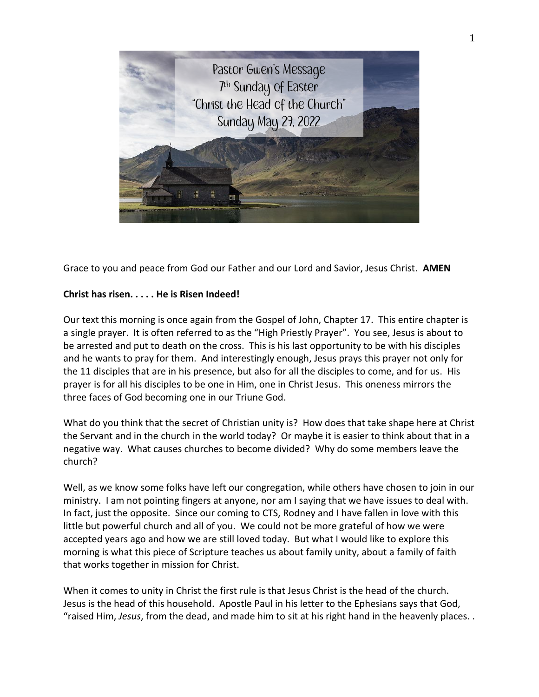

Grace to you and peace from God our Father and our Lord and Savior, Jesus Christ. **AMEN**

## **Christ has risen. . . . . He is Risen Indeed!**

Our text this morning is once again from the Gospel of John, Chapter 17. This entire chapter is a single prayer. It is often referred to as the "High Priestly Prayer". You see, Jesus is about to be arrested and put to death on the cross. This is his last opportunity to be with his disciples and he wants to pray for them. And interestingly enough, Jesus prays this prayer not only for the 11 disciples that are in his presence, but also for all the disciples to come, and for us. His prayer is for all his disciples to be one in Him, one in Christ Jesus. This oneness mirrors the three faces of God becoming one in our Triune God.

What do you think that the secret of Christian unity is? How does that take shape here at Christ the Servant and in the church in the world today? Or maybe it is easier to think about that in a negative way. What causes churches to become divided? Why do some members leave the church?

Well, as we know some folks have left our congregation, while others have chosen to join in our ministry. I am not pointing fingers at anyone, nor am I saying that we have issues to deal with. In fact, just the opposite. Since our coming to CTS, Rodney and I have fallen in love with this little but powerful church and all of you. We could not be more grateful of how we were accepted years ago and how we are still loved today. But what I would like to explore this morning is what this piece of Scripture teaches us about family unity, about a family of faith that works together in mission for Christ.

When it comes to unity in Christ the first rule is that Jesus Christ is the head of the church. Jesus is the head of this household. Apostle Paul in his letter to the Ephesians says that God, "raised Him, *Jesus*, from the dead, and made him to sit at his right hand in the heavenly places. .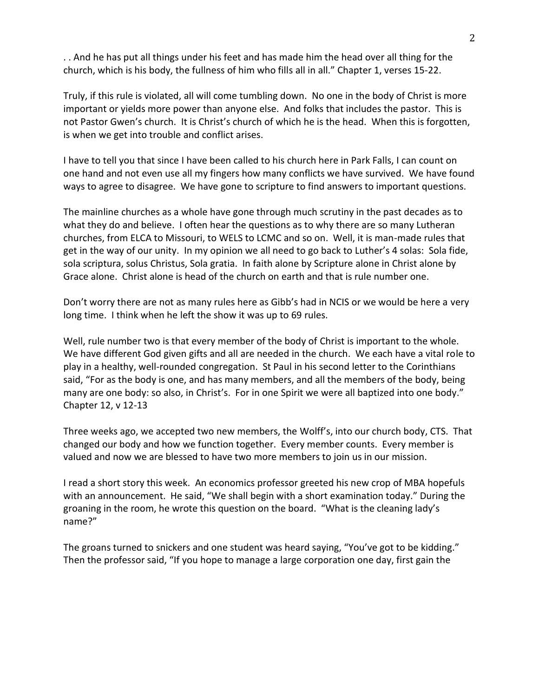. . And he has put all things under his feet and has made him the head over all thing for the church, which is his body, the fullness of him who fills all in all." Chapter 1, verses 15-22.

Truly, if this rule is violated, all will come tumbling down. No one in the body of Christ is more important or yields more power than anyone else. And folks that includes the pastor. This is not Pastor Gwen's church. It is Christ's church of which he is the head. When this is forgotten, is when we get into trouble and conflict arises.

I have to tell you that since I have been called to his church here in Park Falls, I can count on one hand and not even use all my fingers how many conflicts we have survived. We have found ways to agree to disagree. We have gone to scripture to find answers to important questions.

The mainline churches as a whole have gone through much scrutiny in the past decades as to what they do and believe. I often hear the questions as to why there are so many Lutheran churches, from ELCA to Missouri, to WELS to LCMC and so on. Well, it is man-made rules that get in the way of our unity. In my opinion we all need to go back to Luther's 4 solas: Sola fide, sola scriptura, solus Christus, Sola gratia. In faith alone by Scripture alone in Christ alone by Grace alone. Christ alone is head of the church on earth and that is rule number one.

Don't worry there are not as many rules here as Gibb's had in NCIS or we would be here a very long time. I think when he left the show it was up to 69 rules.

Well, rule number two is that every member of the body of Christ is important to the whole. We have different God given gifts and all are needed in the church. We each have a vital role to play in a healthy, well-rounded congregation. St Paul in his second letter to the Corinthians said, "For as the body is one, and has many members, and all the members of the body, being many are one body: so also, in Christ's. For in one Spirit we were all baptized into one body." Chapter 12, v 12-13

Three weeks ago, we accepted two new members, the Wolff's, into our church body, CTS. That changed our body and how we function together. Every member counts. Every member is valued and now we are blessed to have two more members to join us in our mission.

I read a short story this week. An economics professor greeted his new crop of MBA hopefuls with an announcement. He said, "We shall begin with a short examination today." During the groaning in the room, he wrote this question on the board. "What is the cleaning lady's name?"

The groans turned to snickers and one student was heard saying, "You've got to be kidding." Then the professor said, "If you hope to manage a large corporation one day, first gain the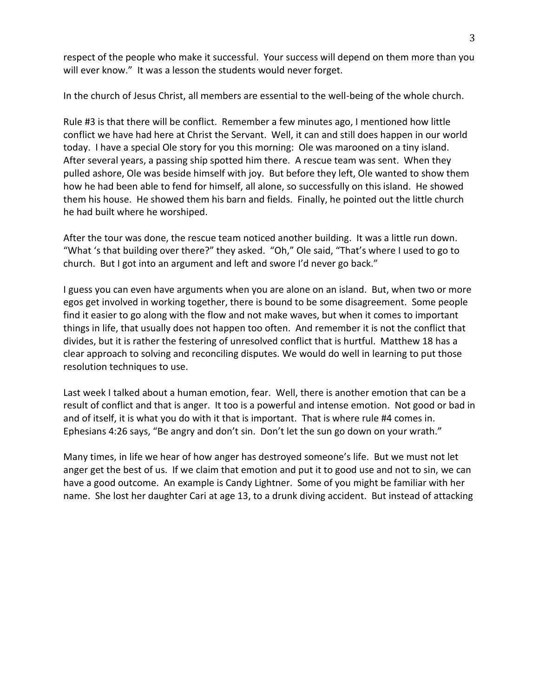respect of the people who make it successful. Your success will depend on them more than you will ever know." It was a lesson the students would never forget.

In the church of Jesus Christ, all members are essential to the well-being of the whole church.

Rule #3 is that there will be conflict. Remember a few minutes ago, I mentioned how little conflict we have had here at Christ the Servant. Well, it can and still does happen in our world today. I have a special Ole story for you this morning: Ole was marooned on a tiny island. After several years, a passing ship spotted him there. A rescue team was sent. When they pulled ashore, Ole was beside himself with joy. But before they left, Ole wanted to show them how he had been able to fend for himself, all alone, so successfully on this island. He showed them his house. He showed them his barn and fields. Finally, he pointed out the little church he had built where he worshiped.

After the tour was done, the rescue team noticed another building. It was a little run down. "What 's that building over there?" they asked. "Oh," Ole said, "That's where I used to go to church. But I got into an argument and left and swore I'd never go back."

I guess you can even have arguments when you are alone on an island. But, when two or more egos get involved in working together, there is bound to be some disagreement. Some people find it easier to go along with the flow and not make waves, but when it comes to important things in life, that usually does not happen too often. And remember it is not the conflict that divides, but it is rather the festering of unresolved conflict that is hurtful. Matthew 18 has a clear approach to solving and reconciling disputes. We would do well in learning to put those resolution techniques to use.

Last week I talked about a human emotion, fear. Well, there is another emotion that can be a result of conflict and that is anger. It too is a powerful and intense emotion. Not good or bad in and of itself, it is what you do with it that is important. That is where rule #4 comes in. Ephesians 4:26 says, "Be angry and don't sin. Don't let the sun go down on your wrath."

Many times, in life we hear of how anger has destroyed someone's life. But we must not let anger get the best of us. If we claim that emotion and put it to good use and not to sin, we can have a good outcome. An example is Candy Lightner. Some of you might be familiar with her name. She lost her daughter Cari at age 13, to a drunk diving accident. But instead of attacking